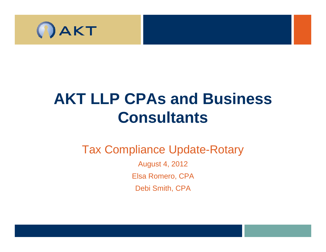

# **AKT LLP CPAs and Business Consultants**

#### Tax Compliance Update-Rotary

August 4, 2012 Elsa Romero, CPA Debi Smith, CPA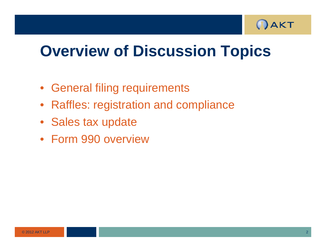

## **Overview of Discussion Topics**

- General filing requirements
- Raffles: re gistration and com pliance
- Sales tax update
- Form 990 overview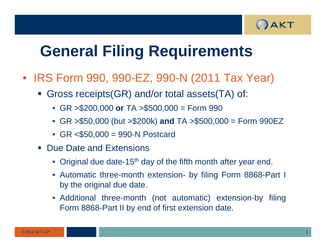

- IRS Form 990, 990-EZ, 990-N (2011 Tax Year)
	- Gross receipts(GR) and/or total assets(TA) of:
		- GR >\$200,000 **or** TA >\$500,000 = Form 990
		- GR >\$50,000 (but >\$200k) **and** TA >\$500,000 <sup>=</sup> Form 990EZ
		- GR <\$50,000 <sup>=</sup> 990-N Postcard
	- **Due Date and Extensions** 
		- Original due date-15<sup>th</sup> day of the fifth month after year end.
		- Automatic three-month extension by filing Form 8868 -Part I by the original due date.
		- Additional three-month (not automatic) extension-by filing Form 8868-Part II by end of first extension date.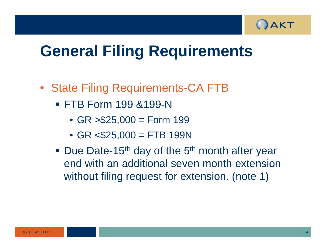

- State Filing Requirements-CA FTB
	- FTB Form 199 & 199-N
		- $GR > $25,000 = Form 199$
		- $GR < $25,000 = FTB 199N$
	- Due Date-15<sup>th</sup> day of the 5<sup>th</sup> month after year end with an additional seven month extension without filing request for extension. (note 1)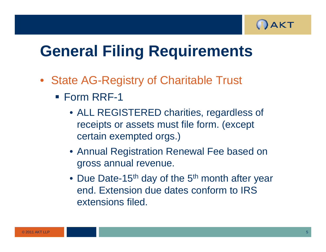

- State AG-Registry of Charitable Trust
	- Form RRF-1
		- ALL REGISTERED charities, regardless of receipts or assets must file form. (except certain exempted orgs.)
		- Annual Registration Renewal Fee based on gross annual revenue.
		- Due Date-15<sup>th</sup> day of the 5<sup>th</sup> month after year end. Extension due dates conform to IRS extensions filed.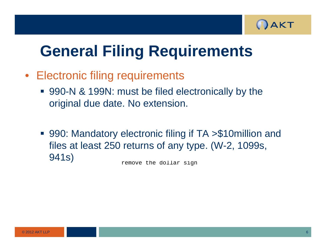

- **Electronic filing requirements**  $\bullet$ 
	- 990-N & 199N: must be filed electronically by the original due date. No extension.
	- 990: Mandatory electronic filing if TA > \$10 million and files at least 250 returns of any type. (W-2, 1099s, 941s)

remove the dollar sign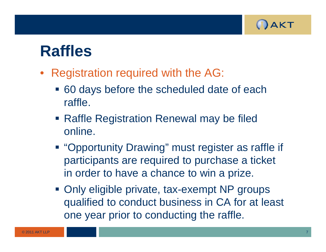

## **R ffl a es**

- $\bullet$ Registration required with the AG:
	- 60 days before the scheduled date of each raffle.
	- **Raffle Registration Renewal may be filed** online.
	- **"Opportunity Drawing" must register as raffle if** participants are required to purchase a ticket in order to have a chance to win a prize.
	- **Only eligible private, tax-exempt NP groups** qualified to conduct business in CA for at least one year prior to conducting the raffle.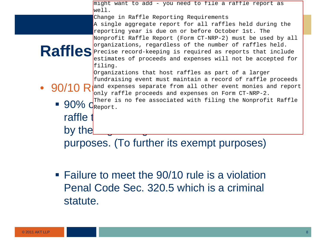|                                                          | might want to add - you need to file a raffle report as                  |
|----------------------------------------------------------|--------------------------------------------------------------------------|
|                                                          | well.                                                                    |
|                                                          | Change in Raffle Reporting Requirements                                  |
|                                                          | A single aggregate report for all raffles held during the                |
|                                                          | reporting year is due on or before October 1st. The                      |
|                                                          | Nonprofit Raffle Report (Form CT-NRP-2) must be used by all              |
|                                                          | organizations, regardless of the number of raffles held.                 |
|                                                          | Raffles Precise record-keeping is required as reports that include       |
|                                                          | estimates of proceeds and expenses will not be accepted for              |
|                                                          | filing.                                                                  |
|                                                          | Organizations that host raffles as part of a larger                      |
|                                                          | fundraising event must maintain a record of raffle proceeds              |
|                                                          | • $90/10$ R and expenses separate from all other event monies and report |
|                                                          | only raffle proceeds and expenses on Form CT-NRP-2.                      |
|                                                          | There is no fee associated with filing the Nonprofit Raffle              |
| $\blacksquare$ 90% $Q_{\text{Report}}^{\text{linear}}$ . |                                                                          |
| raffle :                                                 |                                                                          |
|                                                          |                                                                          |
| by the                                                   |                                                                          |
|                                                          |                                                                          |
| purposes. (To further its exempt purposes)               |                                                                          |
|                                                          |                                                                          |

**Failure to meet the 90/10 rule is a violation** Penal Code Sec. 320.5 which is a criminal statute.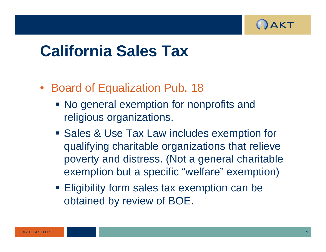

## **California Sales Tax**

- Board of Equalization Pub. 18
	- No general exemption for nonprofits and religious organizations.
	- **Sales & Use Tax Law includes exemption for** qualifying charitable organizations that relieve poverty and distress. (Not a general charitable exemption but a specific "welfare" exemption)
	- **Eligibility form sales tax exemption can be** obtained b y review of BOE.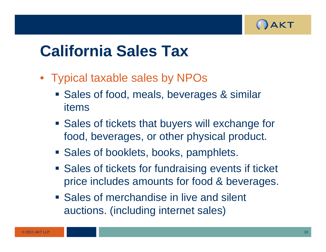

## **California Sales Tax**

- Typical taxable sales by NPOs
	- **Sales of food, meals, beverages & similar** items
	- **Sales of tickets that buyers will exchange for** food, beverages, or other physical product.
	- **Sales of booklets, books, pamphlets.**
	- **Sales of tickets for fundraising events if ticket** price includes amounts for food & beverages.
	- **Sales of merchandise in live and silent** auctions. (including internet sales)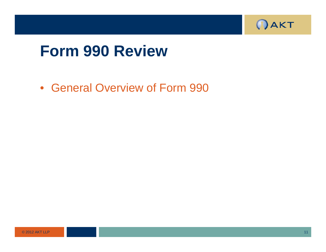

### **F 990 R i Form Rev iew**

• General Overview of Form 990